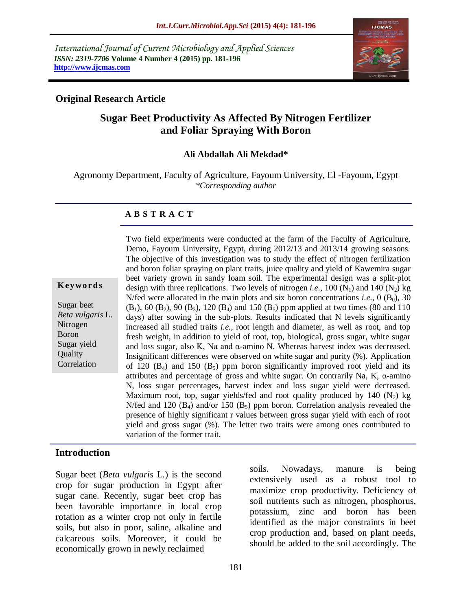*International Journal of Current Microbiology and Applied Sciences ISSN: 2319-7706* **Volume 4 Number 4 (2015) pp. 181-196 http://www.ijcmas.com** 



### **Original Research Article**

# **Sugar Beet Productivity As Affected By Nitrogen Fertilizer and Foliar Spraying With Boron**

#### **Ali Abdallah Ali Mekdad\***

Agronomy Department, Faculty of Agriculture, Fayoum University, El -Fayoum, Egypt *\*Corresponding author*

#### **A B S T R A C T**

|  |  |  |  |  |  | Keywords |  |
|--|--|--|--|--|--|----------|--|
|--|--|--|--|--|--|----------|--|

Sugar beet *Beta vulgaris* L. Nitrogen Boron Sugar yield **Quality** Correlation

Two field experiments were conducted at the farm of the Faculty of Agriculture, Demo, Fayoum University, Egypt, during 2012/13 and 2013/14 growing seasons. The objective of this investigation was to study the effect of nitrogen fertilization and boron foliar spraying on plant traits, juice quality and yield of Kawemira sugar beet variety grown in sandy loam soil. The experimental design was a split-plot design with three replications. Two levels of nitrogen *i.e.*, 100  $(N_1)$  and 140  $(N_2)$  kg N/fed were allocated in the main plots and six boron concentrations *i.e.*,  $0$  ( $B_0$ ),  $30$  $(B_1)$ , 60  $(B_2)$ , 90  $(B_3)$ , 120  $(B_4)$  and 150  $(B_5)$  ppm applied at two times (80 and 110) days) after sowing in the sub-plots. Results indicated that N levels significantly increased all studied traits *i.e.*, root length and diameter, as well as root, and top fresh weight, in addition to yield of root, top, biological, gross sugar, white sugar and loss sugar, also K, Na and  $\alpha$ -amino N. Whereas harvest index was decreased. Insignificant differences were observed on white sugar and purity (%). Application of 120  $(B_4)$  and 150  $(B_5)$  ppm boron significantly improved root yield and its attributes and percentage of gross and white sugar. On contrarily Na, K, α-amino N, loss sugar percentages, harvest index and loss sugar yield were decreased. Maximum root, top, sugar yields/fed and root quality produced by 140  $(N_2)$  kg N/fed and 120  $(B_4)$  and/or 150  $(B_5)$  ppm boron. Correlation analysis revealed the presence of highly significant r values between gross sugar yield with each of root yield and gross sugar (%). The letter two traits were among ones contributed to variation of the former trait.

#### **Introduction**

Sugar beet (*Beta vulgaris* L*.*) is the second crop for sugar production in Egypt after sugar cane. Recently, sugar beet crop has been favorable importance in local crop rotation as a winter crop not only in fertile soils, but also in poor, saline, alkaline and calcareous soils. Moreover, it could be economically grown in newly reclaimed

soils. Nowadays, manure is being extensively used as a robust tool to maximize crop productivity. Deficiency of soil nutrients such as nitrogen, phosphorus, potassium, zinc and boron has been identified as the major constraints in beet crop production and, based on plant needs, should be added to the soil accordingly. The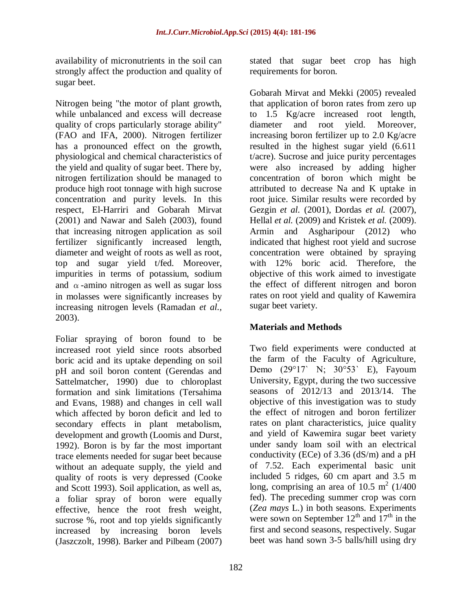availability of micronutrients in the soil can strongly affect the production and quality of sugar beet.

Nitrogen being "the motor of plant growth, while unbalanced and excess will decrease quality of crops particularly storage ability" (FAO and IFA, 2000). Nitrogen fertilizer has a pronounced effect on the growth, physiological and chemical characteristics of the yield and quality of sugar beet. There by, nitrogen fertilization should be managed to produce high root tonnage with high sucrose concentration and purity levels. In this respect, El-Harriri and Gobarah Mirvat (2001) and Nawar and Saleh (2003), found that increasing nitrogen application as soil fertilizer significantly increased length, diameter and weight of roots as well as root, top and sugar yield t/fed. Moreover, impurities in terms of potassium, sodium and  $\alpha$ -amino nitrogen as well as sugar loss in molasses were significantly increases by increasing nitrogen levels (Ramadan *et al.,* 2003).

Foliar spraying of boron found to be increased root yield since roots absorbed boric acid and its uptake depending on soil pH and soil boron content (Gerendas and Sattelmatcher, 1990) due to chloroplast formation and sink limitations (Tersahima and Evans, 1988) and changes in cell wall which affected by boron deficit and led to secondary effects in plant metabolism, development and growth (Loomis and Durst, 1992). Boron is by far the most important trace elements needed for sugar beet because without an adequate supply, the yield and quality of roots is very depressed (Cooke and Scott 1993). Soil application, as well as, a foliar spray of boron were equally effective, hence the root fresh weight, sucrose %, root and top yields significantly increased by increasing boron levels (Jaszczolt, 1998). Barker and Pilbeam (2007)

stated that sugar beet crop has high requirements for boron.

Gobarah Mirvat and Mekki (2005) revealed that application of boron rates from zero up to 1.5 Kg/acre increased root length, diameter and root yield. Moreover, increasing boron fertilizer up to 2.0 Kg/acre resulted in the highest sugar yield (6.611 t/acre). Sucrose and juice purity percentages were also increased by adding higher concentration of boron which might be attributed to decrease Na and K uptake in root juice. Similar results were recorded by Gezgin *et al.* (2001), Dordas *et al.* (2007), Hellal *et al.* (2009) and Kristek *et al.* (2009). Armin and Asgharipour (2012) who indicated that highest root yield and sucrose concentration were obtained by spraying with 12% boric acid. Therefore, the objective of this work aimed to investigate the effect of different nitrogen and boron rates on root yield and quality of Kawemira sugar beet variety.

# **Materials and Methods**

Two field experiments were conducted at the farm of the Faculty of Agriculture, Demo (29°17ˋ N; 30°53ˋ E), Fayoum University, Egypt, during the two successive seasons of 2012/13 and 2013/14. The objective of this investigation was to study the effect of nitrogen and boron fertilizer rates on plant characteristics, juice quality and yield of Kawemira sugar beet variety under sandy loam soil with an electrical conductivity (ECe) of 3.36 (dS/m) and a pH of 7.52. Each experimental basic unit included 5 ridges, 60 cm apart and 3.5 m long, comprising an area of  $10.5 \text{ m}^2$  (1/400) fed). The preceding summer crop was corn (*Zea mays* L.) in both seasons. Experiments were sown on September  $12<sup>th</sup>$  and  $17<sup>th</sup>$  in the first and second seasons, respectively. Sugar beet was hand sown 3-5 balls/hill using dry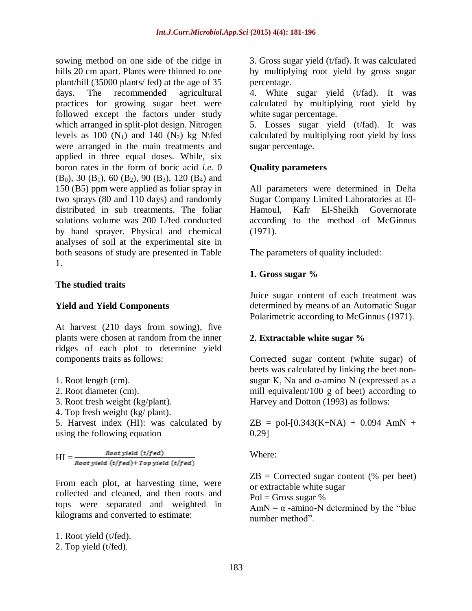sowing method on one side of the ridge in hills 20 cm apart. Plants were thinned to one plant/hill (35000 plants/ fed) at the age of 35 days. The recommended agricultural practices for growing sugar beet were followed except the factors under study which arranged in split-plot design. Nitrogen levels as 100  $(N_1)$  and 140  $(N_2)$  kg N\fed were arranged in the main treatments and applied in three equal doses. While, six boron rates in the form of boric acid *i.e.* 0  $(B_0)$ , 30  $(B_1)$ , 60  $(B_2)$ , 90  $(B_3)$ , 120  $(B_4)$  and 150 (B5) ppm were applied as foliar spray in two sprays (80 and 110 days) and randomly distributed in sub treatments. The foliar solutions volume was 200 L/fed conducted by hand sprayer. Physical and chemical analyses of soil at the experimental site in both seasons of study are presented in Table 1.

# **The studied traits**

### **Yield and Yield Components**

At harvest (210 days from sowing), five plants were chosen at random from the inner ridges of each plot to determine yield components traits as follows:

- 1. Root length (cm).
- 2. Root diameter (cm).
- 3. Root fresh weight (kg/plant).
- 4. Top fresh weight (kg/ plant).

5. Harvest index (HI): was calculated by using the following equation

 $\text{HI} = \frac{\text{Root yield } (\text{t/fed})}{\text{Root yield } (\text{t/fed}) + \text{Top yield } (\text{t/fed})}$ 

From each plot, at harvesting time, were collected and cleaned, and then roots and tops were separated and weighted in kilograms and converted to estimate:

1. Root yield (t/fed).

2. Top yield (t/fed).

3. Gross sugar yield (t/fad). It was calculated by multiplying root yield by gross sugar percentage.

4. White sugar yield (t/fad). It was calculated by multiplying root yield by white sugar percentage.

5. Losses sugar yield (t/fad). It was calculated by multiplying root yield by loss sugar percentage.

# **Quality parameters**

All parameters were determined in Delta Sugar Company Limited Laboratories at El-Hamoul, Kafr El-Sheikh Governorate according to the method of McGinnus (1971).

The parameters of quality included:

# **1. Gross sugar %**

Juice sugar content of each treatment was determined by means of an Automatic Sugar Polarimetric according to McGinnus (1971).

# **2. Extractable white sugar %**

Corrected sugar content (white sugar) of beets was calculated by linking the beet nonsugar K, Na and  $\alpha$ -amino N (expressed as a mill equivalent/100 g of beet) according to Harvey and Dotton (1993) as follows:

 $ZB = \text{pol-} [0.343(K+NA) + 0.094 AMN +$ 0.29]

Where:

 $ZB =$  Corrected sugar content (% per beet) or extractable white sugar

 $Pol = Gross$  sugar %

AmN =  $\alpha$  -amino-N determined by the "blue" number method".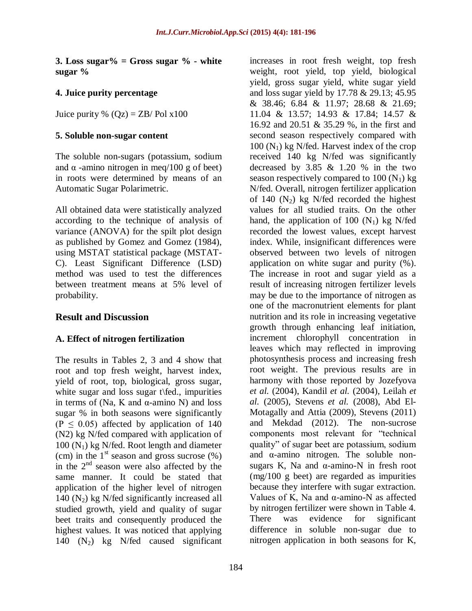**3. Loss sugar% = Gross sugar % - white sugar %** 

### **4. Juice purity percentage**

Juice purity %  $(Qz) = ZB$ / Pol x100

#### **5. Soluble non-sugar content**

The soluble non-sugars (potassium, sodium and  $\alpha$  -amino nitrogen in meq/100 g of beet) in roots were determined by means of an Automatic Sugar Polarimetric.

All obtained data were statistically analyzed according to the technique of analysis of variance (ANOVA) for the spilt plot design as published by Gomez and Gomez (1984), using MSTAT statistical package (MSTAT-C). Least Significant Difference (LSD) method was used to test the differences between treatment means at 5% level of probability.

### **Result and Discussion**

### **A. Effect of nitrogen fertilization**

The results in Tables 2, 3 and 4 show that root and top fresh weight, harvest index, yield of root, top, biological, gross sugar, white sugar and loss sugar t\fed., impurities in terms of (Na, K and  $\alpha$ -amino N) and loss sugar % in both seasons were significantly (P  $\leq$  0.05) affected by application of 140 (N2) kg N/fed compared with application of  $100$  (N<sub>1</sub>) kg N/fed. Root length and diameter (cm) in the  $1<sup>st</sup>$  season and gross sucrose (%) in the  $2<sup>nd</sup>$  season were also affected by the same manner. It could be stated that application of the higher level of nitrogen 140  $(N_2)$  kg N/fed significantly increased all studied growth, yield and quality of sugar beet traits and consequently produced the highest values. It was noticed that applying 140  $(N_2)$  kg N/fed caused significant

increases in root fresh weight, top fresh weight, root yield, top yield, biological yield, gross sugar yield, white sugar yield and loss sugar yield by 17.78 & 29.13; 45.95 & 38.46; 6.84 & 11.97; 28.68 & 21.69; 11.04 & 13.57; 14.93 & 17.84; 14.57 & 16.92 and 20.51 & 35.29 %, in the first and second season respectively compared with  $100$  (N<sub>1</sub>) kg N/fed. Harvest index of the crop received 140 kg N/fed was significantly decreased by  $3.85 \& 1.20 \%$  in the two season respectively compared to  $100 (N_1)$  kg N/fed. Overall, nitrogen fertilizer application of 140  $(N_2)$  kg N/fed recorded the highest values for all studied traits. On the other hand, the application of 100  $(N_1)$  kg N/fed recorded the lowest values, except harvest index. While, insignificant differences were observed between two levels of nitrogen application on white sugar and purity (%). The increase in root and sugar yield as a result of increasing nitrogen fertilizer levels may be due to the importance of nitrogen as one of the macronutrient elements for plant nutrition and its role in increasing vegetative growth through enhancing leaf initiation, increment chlorophyll concentration in leaves which may reflected in improving photosynthesis process and increasing fresh root weight. The previous results are in harmony with those reported by Jozefyova *et al.* (2004), Kandil *et al.* (2004), Leilah *et al.* (2005), Stevens *et al.* (2008), Abd El-Motagally and Attia (2009), Stevens (2011) and Mekdad (2012). The non-sucrose components most relevant for "technical quality" of sugar beet are potassium, sodium and α-amino nitrogen. The soluble nonsugars K, Na and  $\alpha$ -amino-N in fresh root (mg/100 g beet) are regarded as impurities because they interfere with sugar extraction. Values of K, Na and  $\alpha$ -amino-N as affected by nitrogen fertilizer were shown in Table 4. There was evidence for significant difference in soluble non-sugar due to nitrogen application in both seasons for K,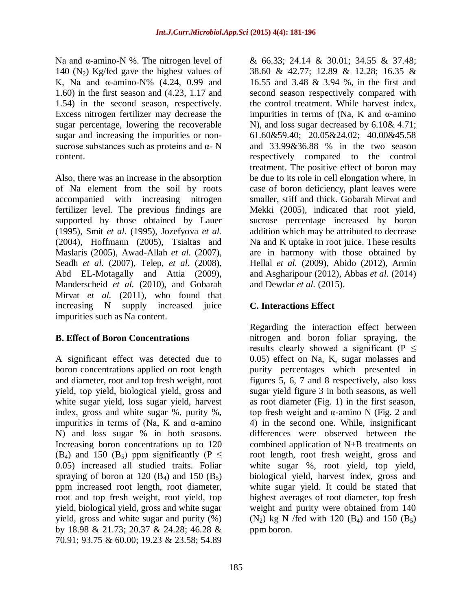Na and α-amino-N %. The nitrogen level of 140  $(N_2)$  Kg/fed gave the highest values of K, Na and α-amino-N% (4.24, 0.99 and 1.60) in the first season and (4.23, 1.17 and 1.54) in the second season, respectively. Excess nitrogen fertilizer may decrease the sugar percentage, lowering the recoverable sugar and increasing the impurities or nonsucrose substances such as proteins and  $\alpha$ - N content.

Also, there was an increase in the absorption of Na element from the soil by roots accompanied with increasing nitrogen fertilizer level. The previous findings are supported by those obtained by Lauer (1995), Smit *et al.* (1995), Jozefyova *et al.*  (2004), Hoffmann (2005), Tsialtas and Maslaris (2005), Awad-Allah *et al.* (2007), Seadh *et al.* (2007), Telep, *et al.* (2008), Abd EL-Motagally and Attia (2009), Manderscheid *et al.* (2010), and Gobarah Mirvat *et al.* (2011), who found that increasing N supply increased juice impurities such as Na content.

# **B. Effect of Boron Concentrations**

A significant effect was detected due to boron concentrations applied on root length and diameter, root and top fresh weight, root yield, top yield, biological yield, gross and white sugar yield, loss sugar yield, harvest index, gross and white sugar %, purity %, impurities in terms of (Na, K and  $\alpha$ -amino N) and loss sugar % in both seasons. Increasing boron concentrations up to 120 (B<sub>4</sub>) and 150 (B<sub>5</sub>) ppm significantly (P  $\leq$ 0.05) increased all studied traits. Foliar spraying of boron at 120  $(B_4)$  and 150  $(B_5)$ ppm increased root length, root diameter, root and top fresh weight, root yield, top yield, biological yield, gross and white sugar yield, gross and white sugar and purity (%) by 18.98 & 21.73; 20.37 & 24.28; 46.28 & 70.91; 93.75 & 60.00; 19.23 & 23.58; 54.89

& 66.33; 24.14 & 30.01; 34.55 & 37.48; 38.60 & 42.77; 12.89 & 12.28; 16.35 & 16.55 and 3.48 & 3.94 %, in the first and second season respectively compared with the control treatment. While harvest index, impurities in terms of (Na, K and  $\alpha$ -amino N), and loss sugar decreased by 6.10& 4.71; 61.60&59.40; 20.05&24.02; 40.00&45.58 and 33.99&36.88 % in the two season respectively compared to the control treatment. The positive effect of boron may be due to its role in cell elongation where, in case of boron deficiency, plant leaves were smaller, stiff and thick. Gobarah Mirvat and Mekki (2005), indicated that root yield, sucrose percentage increased by boron addition which may be attributed to decrease Na and K uptake in root juice. These results are in harmony with those obtained by Hellal *et al.* (2009), Abido (2012), Armin and Asgharipour (2012), Abbas *et al.* (2014) and Dewdar *et al.* (2015).

# **C. Interactions Effect**

Regarding the interaction effect between nitrogen and boron foliar spraying, the results clearly showed a significant ( $P \leq$ 0.05) effect on Na, K, sugar molasses and purity percentages which presented in figures 5, 6, 7 and 8 respectively, also loss sugar yield figure 3 in both seasons, as well as root diameter (Fig. 1) in the first season, top fresh weight and α-amino N (Fig. 2 and 4) in the second one. While, insignificant differences were observed between the combined application of N+B treatments on root length, root fresh weight, gross and white sugar %, root yield, top yield, biological yield, harvest index, gross and white sugar yield. It could be stated that highest averages of root diameter, top fresh weight and purity were obtained from 140  $(N_2)$  kg N /fed with 120  $(B_4)$  and 150  $(B_5)$ ppm boron.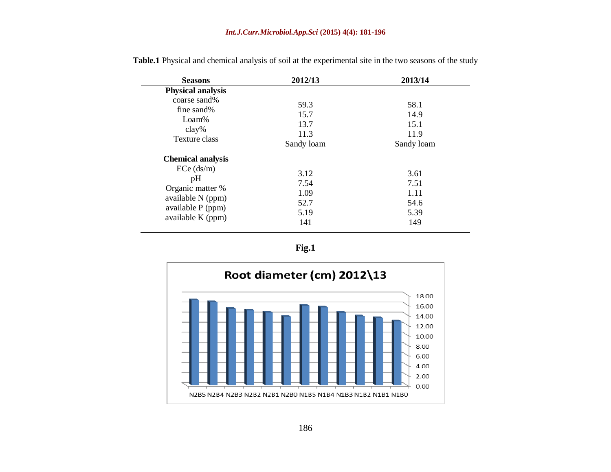| <b>Seasons</b>                         | 2012/13            | 2013/14            |
|----------------------------------------|--------------------|--------------------|
| <b>Physical analysis</b>               |                    |                    |
| coarse sand%<br>fine sand%             | 59.3<br>15.7       | 58.1<br>14.9       |
| Loam%<br>$clay\%$                      | 13.7               | 15.1               |
| Texture class                          | 11.3<br>Sandy loam | 11.9<br>Sandy loam |
| <b>Chemical analysis</b>               |                    |                    |
| $ECe$ (ds/m)<br>pH                     | 3.12<br>7.54       | 3.61<br>7.51       |
| Organic matter %<br>available N (ppm)  | 1.09<br>52.7       | 1.11<br>54.6       |
| available P (ppm)<br>available K (ppm) | 5.19<br>141        | 5.39<br>149        |

**Table.1** Physical and chemical analysis of soil at the experimental site in the two seasons of the study



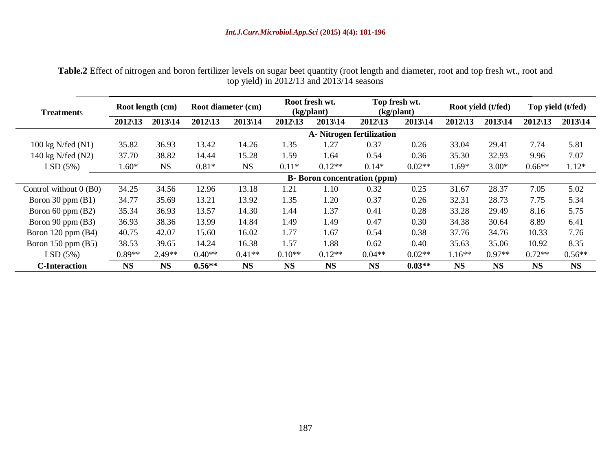| <b>Treatments</b>        | Root length (cm)   |           | Root diameter (cm) |           | Root fresh wt.<br>(kg/plant) |           | Top fresh wt.<br>(kg/plant)         |           | Root yield (t/fed) |           | Top yield (t/fed)  |           |
|--------------------------|--------------------|-----------|--------------------|-----------|------------------------------|-----------|-------------------------------------|-----------|--------------------|-----------|--------------------|-----------|
|                          | $2012\backslash13$ | 2013\14   | $2012\backslash13$ | 2013\14   | $2012\backslash13$           | 2013\14   | $2012\backslash13$                  | $2013$ 14 | $2012\backslash13$ | 2013\14   | $2012\backslash13$ | $2013$ 14 |
|                          |                    |           |                    |           |                              |           | A-Nitrogen fertilization            |           |                    |           |                    |           |
| 100 kg N/fed (N1)        | 35.82              | 36.93     | 13.42              | 14.26     | 1.35                         | 1.27      | 0.37                                | 0.26      | 33.04              | 29.41     | 7.74               | 5.81      |
| 140 kg N/fed (N2)        | 37.70              | 38.82     | 14.44              | 15.28     | 1.59                         | 1.64      | 0.54                                | 0.36      | 35.30              | 32.93     | 9.96               | 7.07      |
| LSD(5%)                  | $1.60*$            | <b>NS</b> | $0.81*$            | <b>NS</b> | $0.11*$                      | $0.12**$  | $0.14*$                             | $0.02**$  | $1.69*$            | $3.00*$   | $0.66**$           | $1.12*$   |
|                          |                    |           |                    |           |                              |           | <b>B</b> -Boron concentration (ppm) |           |                    |           |                    |           |
| Control without $0$ (B0) | 34.25              | 34.56     | 12.96              | 13.18     | 1.21                         | 1.10      | 0.32                                | 0.25      | 31.67              | 28.37     | 7.05               | 5.02      |
| Boron 30 ppm $(B1)$      | 34.77              | 35.69     | 13.21              | 13.92     | 1.35                         | 1.20      | 0.37                                | 0.26      | 32.31              | 28.73     | 7.75               | 5.34      |
| Boron $60$ ppm $(B2)$    | 35.34              | 36.93     | 13.57              | 14.30     | 1.44                         | 1.37      | 0.41                                | 0.28      | 33.28              | 29.49     | 8.16               | 5.75      |
| Boron 90 ppm (B3)        | 36.93              | 38.36     | 13.99              | 14.84     | 1.49                         | 1.49      | 0.47                                | 0.30      | 34.38              | 30.64     | 8.89               | 6.41      |
| Boron $120$ ppm $(B4)$   | 40.75              | 42.07     | 15.60              | 16.02     | 1.77                         | 1.67      | 0.54                                | 0.38      | 37.76              | 34.76     | 10.33              | 7.76      |
| Boron $150$ ppm $(B5)$   | 38.53              | 39.65     | 14.24              | 16.38     | 1.57                         | 1.88      | 0.62                                | 0.40      | 35.63              | 35.06     | 10.92              | 8.35      |
| LSD(5%)                  | $0.89**$           | $2.49**$  | $0.40**$           | $0.41**$  | $0.10**$                     | $0.12**$  | $0.04**$                            | $0.02**$  | $1.16**$           | $0.97**$  | $0.72**$           | $0.56**$  |
| <b>C-Interaction</b>     | <b>NS</b>          | <b>NS</b> | $0.56**$           | <b>NS</b> | <b>NS</b>                    | <b>NS</b> | <b>NS</b>                           | $0.03**$  | <b>NS</b>          | <b>NS</b> | <b>NS</b>          | <b>NS</b> |

**Table.2** Effect of nitrogen and boron fertilizer levels on sugar beet quantity (root length and diameter, root and top fresh wt., root and top yield) in 2012/13 and 2013/14 seasons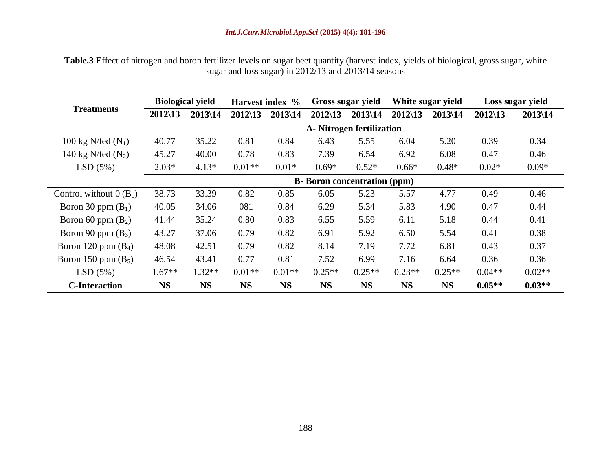**Table.3** Effect of nitrogen and boron fertilizer levels on sugar beet quantity (harvest index, yields of biological, gross sugar, white sugar and loss sugar) in 2012/13 and 2013/14 seasons

|                          | <b>Biological yield</b> |           | Harvest index %    |           | Gross sugar yield                    |           | White sugar yield  |           | Loss sugar yield   |          |
|--------------------------|-------------------------|-----------|--------------------|-----------|--------------------------------------|-----------|--------------------|-----------|--------------------|----------|
| <b>Treatments</b>        | $2012\backslash13$      | 2013\14   | $2012\backslash13$ | 2013\14   | $2012\backslash13$                   | 2013\14   | $2012\backslash13$ | 2013\14   | $2012\backslash13$ | 2013\14  |
|                          |                         |           |                    |           | A- Nitrogen fertilization            |           |                    |           |                    |          |
| 100 kg N/fed $(N_1)$     | 40.77                   | 35.22     | 0.81               | 0.84      | 6.43                                 | 5.55      | 6.04               | 5.20      | 0.39               | 0.34     |
| 140 kg N/fed $(N_2)$     | 45.27                   | 40.00     | 0.78               | 0.83      | 7.39                                 | 6.54      | 6.92               | 6.08      | 0.47               | 0.46     |
| LSD(5%)                  | $2.03*$                 | $4.13*$   | $0.01**$           | $0.01*$   | $0.69*$                              | $0.52*$   | $0.66*$            | $0.48*$   | $0.02*$            | $0.09*$  |
|                          |                         |           |                    |           | <b>B</b> - Boron concentration (ppm) |           |                    |           |                    |          |
| Control without $0(B_0)$ | 38.73                   | 33.39     | 0.82               | 0.85      | 6.05                                 | 5.23      | 5.57               | 4.77      | 0.49               | 0.46     |
| Boron 30 ppm $(B_1)$     | 40.05                   | 34.06     | 081                | 0.84      | 6.29                                 | 5.34      | 5.83               | 4.90      | 0.47               | 0.44     |
| Boron 60 ppm $(B_2)$     | 41.44                   | 35.24     | 0.80               | 0.83      | 6.55                                 | 5.59      | 6.11               | 5.18      | 0.44               | 0.41     |
| Boron 90 ppm $(B_3)$     | 43.27                   | 37.06     | 0.79               | 0.82      | 6.91                                 | 5.92      | 6.50               | 5.54      | 0.41               | 0.38     |
| Boron 120 ppm $(B_4)$    | 48.08                   | 42.51     | 0.79               | 0.82      | 8.14                                 | 7.19      | 7.72               | 6.81      | 0.43               | 0.37     |
| Boron 150 ppm $(B_5)$    | 46.54                   | 43.41     | 0.77               | 0.81      | 7.52                                 | 6.99      | 7.16               | 6.64      | 0.36               | 0.36     |
| LSD(5%)                  | $1.67**$                | $1.32**$  | $0.01**$           | $0.01**$  | $0.25**$                             | $0.25**$  | $0.23**$           | $0.25**$  | $0.04**$           | $0.02**$ |
| <b>C</b> -Interaction    | <b>NS</b>               | <b>NS</b> | <b>NS</b>          | <b>NS</b> | <b>NS</b>                            | <b>NS</b> | <b>NS</b>          | <b>NS</b> | $0.05**$           | $0.03**$ |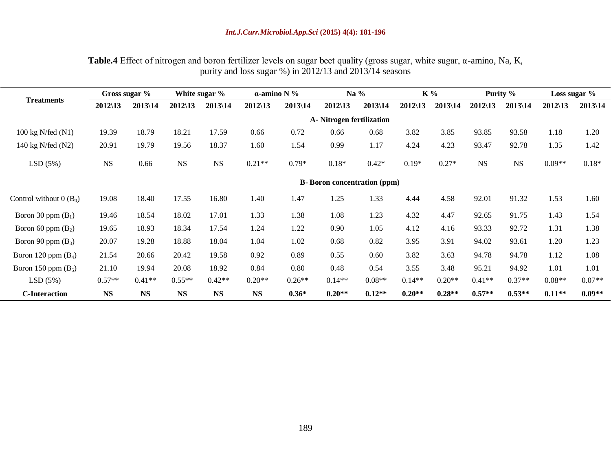### *Int.J.Curr.Microbiol.App.Sci* **(2015) 4(4): 181-196**

| <b>Table.4</b> Effect of nitrogen and boron fertilizer levels on sugar beet quality (gross sugar, white sugar, $\alpha$ -amino, Na, K, |
|----------------------------------------------------------------------------------------------------------------------------------------|
| purity and loss sugar $\%$ ) in 2012/13 and 2013/14 seasons                                                                            |

|                             |                    | Gross sugar % |                                     | White sugar % | $\alpha$ -amino N % |                      | Na $%$                    |          | K %                |            | Purity %           |           | Loss sugar $%$     |             |
|-----------------------------|--------------------|---------------|-------------------------------------|---------------|---------------------|----------------------|---------------------------|----------|--------------------|------------|--------------------|-----------|--------------------|-------------|
| <b>Treatments</b>           | $2012\backslash13$ | 2013\14       | $2012\backslash13$                  | $2013$ 14     | $2012\backslash13$  | $2013 \backslash 14$ | $2012\backslash13$        | 2013\14  | $2012\backslash13$ | $2013$  14 | $2012\backslash13$ | 2013\14   | $2012\backslash13$ | $2013$   14 |
|                             |                    |               |                                     |               |                     |                      | A- Nitrogen fertilization |          |                    |            |                    |           |                    |             |
| $100 \text{ kg}$ N/fed (N1) | 19.39              | 18.79         | 18.21                               | 17.59         | 0.66                | 0.72                 | 0.66                      | 0.68     | 3.82               | 3.85       | 93.85              | 93.58     | 1.18               | 1.20        |
| 140 kg N/fed (N2)           | 20.91              | 19.79         | 19.56                               | 18.37         | 1.60                | 1.54                 | 0.99                      | 1.17     | 4.24               | 4.23       | 93.47              | 92.78     | 1.35               | 1.42        |
| LSD(5%)                     | <b>NS</b>          | 0.66          | <b>NS</b>                           | NS            | $0.21**$            | $0.79*$              | $0.18*$                   | $0.42*$  | $0.19*$            | $0.27*$    | <b>NS</b>          | <b>NS</b> | $0.09**$           | $0.18*$     |
|                             |                    |               | <b>B-</b> Boron concentration (ppm) |               |                     |                      |                           |          |                    |            |                    |           |                    |             |
| Control without $0(B_0)$    | 19.08              | 18.40         | 17.55                               | 16.80         | 1.40                | 1.47                 | 1.25                      | 1.33     | 4.44               | 4.58       | 92.01              | 91.32     | 1.53               | 1.60        |
| Boron 30 ppm $(B_1)$        | 19.46              | 18.54         | 18.02                               | 17.01         | 1.33                | 1.38                 | 1.08                      | 1.23     | 4.32               | 4.47       | 92.65              | 91.75     | 1.43               | 1.54        |
| Boron 60 ppm $(B_2)$        | 19.65              | 18.93         | 18.34                               | 17.54         | 1.24                | 1.22                 | 0.90                      | 1.05     | 4.12               | 4.16       | 93.33              | 92.72     | 1.31               | 1.38        |
| Boron 90 ppm $(B_3)$        | 20.07              | 19.28         | 18.88                               | 18.04         | 1.04                | 1.02                 | 0.68                      | 0.82     | 3.95               | 3.91       | 94.02              | 93.61     | 1.20               | 1.23        |
| Boron 120 ppm $(B_4)$       | 21.54              | 20.66         | 20.42                               | 19.58         | 0.92                | 0.89                 | 0.55                      | 0.60     | 3.82               | 3.63       | 94.78              | 94.78     | 1.12               | 1.08        |
| Boron 150 ppm $(B_5)$       | 21.10              | 19.94         | 20.08                               | 18.92         | 0.84                | 0.80                 | 0.48                      | 0.54     | 3.55               | 3.48       | 95.21              | 94.92     | 1.01               | 1.01        |
| LSD(5%)                     | $0.57**$           | $0.41**$      | $0.55**$                            | $0.42**$      | $0.20**$            | $0.26**$             | $0.14**$                  | $0.08**$ | $0.14**$           | $0.20**$   | $0.41**$           | $0.37**$  | $0.08**$           | $0.07**$    |
| <b>C-Interaction</b>        | <b>NS</b>          | <b>NS</b>     | <b>NS</b>                           | <b>NS</b>     | <b>NS</b>           | $0.36*$              | $0.20**$                  | $0.12**$ | $0.20**$           | $0.28**$   | $0.57**$           | $0.53**$  | $0.11**$           | $0.09**$    |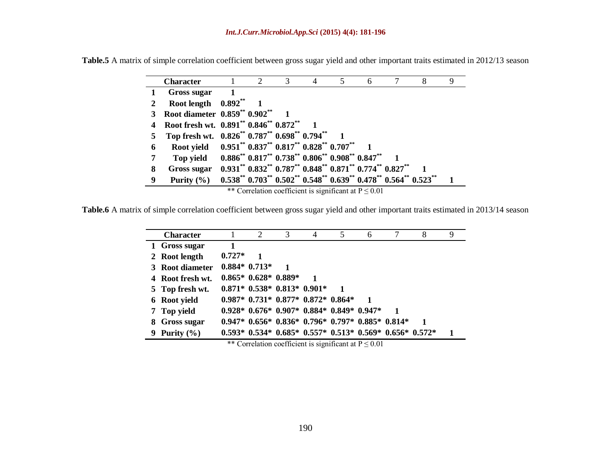|   | <b>Character</b>                                                  | 2 | 3 |                                                                                                                                                                                 | 6 |  |  |
|---|-------------------------------------------------------------------|---|---|---------------------------------------------------------------------------------------------------------------------------------------------------------------------------------|---|--|--|
|   | Gross sugar                                                       |   |   |                                                                                                                                                                                 |   |  |  |
|   | Root length $0.892**$                                             |   |   |                                                                                                                                                                                 |   |  |  |
|   | Root diameter 0.859 <sup>**</sup> 0.902 <sup>**</sup>             |   |   |                                                                                                                                                                                 |   |  |  |
|   | Root fresh wt. 0.891** 0.846** 0.872**                            |   |   |                                                                                                                                                                                 |   |  |  |
|   | Top fresh wt. $0.826^{**}$ $0.787^{**}$ $0.698^{**}$ $0.794^{**}$ |   |   |                                                                                                                                                                                 |   |  |  |
| 6 | Root yield 0.951** 0.837** 0.817** 0.828** 0.707**                |   |   |                                                                                                                                                                                 |   |  |  |
|   | Top yield                                                         |   |   | $0.886^{**}$ $0.817^{**}$ $0.738^{**}$ $0.806^{**}$ $0.908^{**}$ $0.847^{**}$                                                                                                   |   |  |  |
| 8 | Gross sugar                                                       |   |   | $0.931$ <sup>**</sup> $0.832$ <sup>**</sup> $0.787$ <sup>**</sup> $0.848$ <sup>**</sup> $0.871$ <sup>**</sup> $0.774$ <sup>**</sup> $0.827$ <sup>**</sup>                       |   |  |  |
| 9 | Purity $(\% )$                                                    |   |   | $0.538$ <sup>**</sup> $0.703$ <sup>**</sup> $0.502$ <sup>**</sup> $0.548$ <sup>**</sup> $0.639$ <sup>**</sup> $0.478$ <sup>**</sup> $0.564$ <sup>**</sup> $0.523$ <sup>**</sup> |   |  |  |

**Table.5** A matrix of simple correlation coefficient between gross sugar yield and other important traits estimated in 2012/13 season

\*\* Correlation coefficient is significant at  $P \le 0.01$ 

**Table.6** A matrix of simple correlation coefficient between gross sugar yield and other important traits estimated in 2013/14 season

| <b>Character</b> |          | 2                      | 3 | $\overline{4}$                                                          | 5           | 6 | 8 | 9                                                         |  |  |  |  |  |  |  |  |  |  |
|------------------|----------|------------------------|---|-------------------------------------------------------------------------|-------------|---|---|-----------------------------------------------------------|--|--|--|--|--|--|--|--|--|--|
| 1 Gross sugar    | 1        |                        |   |                                                                         |             |   |   |                                                           |  |  |  |  |  |  |  |  |  |  |
| 2 Root length    | $0.727*$ | $\mathbf{1}$           |   |                                                                         |             |   |   |                                                           |  |  |  |  |  |  |  |  |  |  |
| 3 Root diameter  |          | $0.884*0.713*$         |   |                                                                         |             |   |   |                                                           |  |  |  |  |  |  |  |  |  |  |
| 4 Root fresh wt. |          | $0.865* 0.628* 0.889*$ |   |                                                                         |             |   |   |                                                           |  |  |  |  |  |  |  |  |  |  |
| 5 Top fresh wt.  |          |                        |   | $0.871* 0.538* 0.813* 0.901*$                                           | $\mathbf 1$ |   |   |                                                           |  |  |  |  |  |  |  |  |  |  |
| 6 Root yield     |          |                        |   | $0.987*$ $0.731*$ $0.877*$ $0.872*$ $0.864*$                            |             | 1 |   |                                                           |  |  |  |  |  |  |  |  |  |  |
| 7 Top yield      |          |                        |   | $0.928* 0.676* 0.907* 0.884* 0.849* 0.947*$                             |             |   |   |                                                           |  |  |  |  |  |  |  |  |  |  |
| 8 Gross sugar    |          |                        |   | $0.947* 0.656* 0.836* 0.796* 0.797* 0.885* 0.814*$                      |             |   |   |                                                           |  |  |  |  |  |  |  |  |  |  |
| 9 Purity $(\% )$ |          |                        |   | $0.593*$ $0.534*$ $0.685*$ $0.557*$ $0.513*$ $0.569*$ $0.656*$ $0.572*$ |             |   |   |                                                           |  |  |  |  |  |  |  |  |  |  |
|                  |          |                        |   |                                                                         |             |   |   | ** Correlation coefficient is significant at $P \le 0.01$ |  |  |  |  |  |  |  |  |  |  |

**\* \* \* \* \* \*** \*\* Correlation coefficient is significant at P ≤ 0.01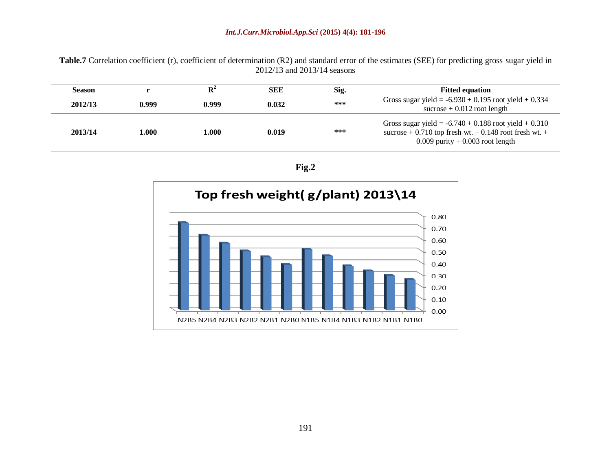#### *Int.J.Curr.Microbiol.App.Sci* **(2015) 4(4): 181-196**

Table.7 Correlation coefficient (r), coefficient of determination (R2) and standard error of the estimates (SEE) for predicting gross sugar yield in 2012/13 and 2013/14 seasons

| <b>Season</b> |       |       | <b>SEE</b> | Sig. | <b>Fitted equation</b>                                                                                                                                       |
|---------------|-------|-------|------------|------|--------------------------------------------------------------------------------------------------------------------------------------------------------------|
| 2012/13       | 0.999 | 0.999 | 0.032      | ***  | Gross sugar yield = $-6.930 + 0.195$ root yield + 0.334<br>sucrose $+0.012$ root length                                                                      |
| 2013/14       | l.000 | 1.000 | 0.019      | ***  | Gross sugar yield = $-6.740 + 0.188$ root yield $+ 0.310$<br>sucrose + 0.710 top fresh wt. $-0.148$ root fresh wt. $+$<br>$0.009$ purity + 0.003 root length |

**Fig.2**

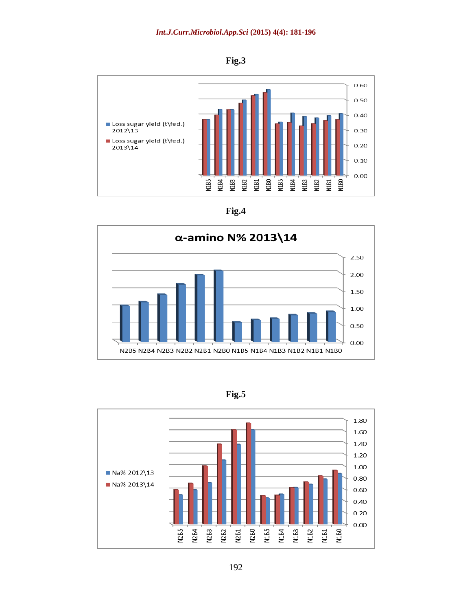









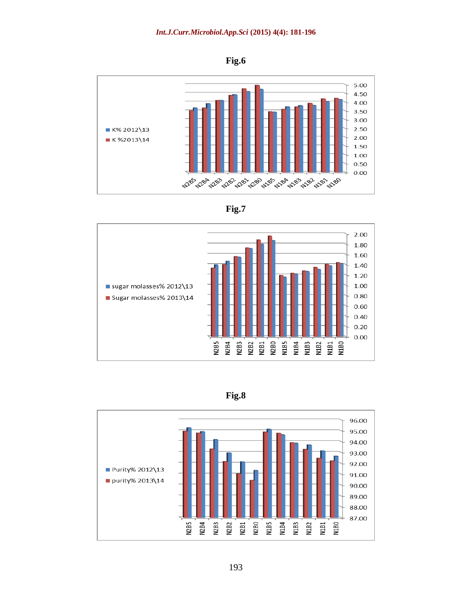**Fig.6**







**Fig.8**

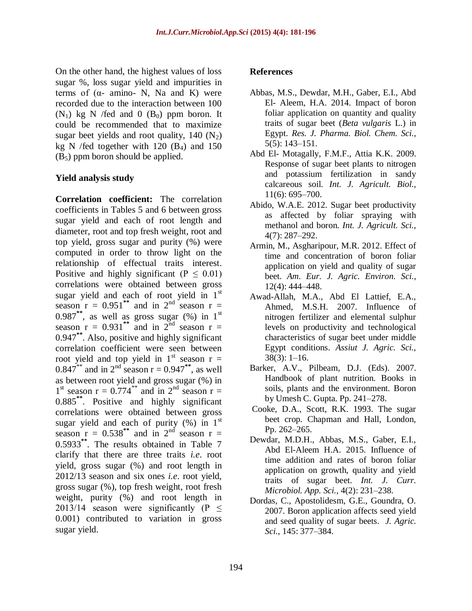On the other hand, the highest values of loss sugar %, loss sugar yield and impurities in terms of  $(α$ - amino- N, Na and K) were recorded due to the interaction between 100  $(N_1)$  kg N /fed and 0  $(B_0)$  ppm boron. It could be recommended that to maximize sugar beet yields and root quality,  $140 \, (N_2)$ kg N /fed together with  $120$  (B<sub>4</sub>) and  $150$  $(B_5)$  ppm boron should be applied.

### **Yield analysis study**

**Correlation coefficient:** The correlation coefficients in Tables 5 and 6 between gross sugar yield and each of root length and diameter, root and top fresh weight, root and top yield, gross sugar and purity (%) were computed in order to throw light on the relationship of effectual traits interest. Positive and highly significant ( $P \leq 0.01$ ) correlations were obtained between gross sugar yield and each of root yield in  $1<sup>st</sup>$ season  $r = 0.951^{**}$  and in  $2^{nd}$  season  $r =$  $0.987^{**}$ , as well as gross sugar (%) in 1st season  $r = 0.931^{**}$  and in  $2^{nd}$  season  $r =$ 0.947**\*\***. Also, positive and highly significant correlation coefficient were seen between root yield and top yield in  $1<sup>st</sup>$  season  $r =$  $0.847^{**}$  and in  $2^{nd}$  season  $r = 0.947^{**}$ , as well as between root yield and gross sugar (%) in  $1<sup>st</sup>$  season r = 0.774<sup>\*\*</sup> and in 2<sup>nd</sup> season r = 0.885**\*\***. Positive and highly significant correlations were obtained between gross sugar yield and each of purity  $(\%)$  in 1<sup>st</sup> season  $r = 0.538^{**}$  and in  $2^{nd}$  season  $r =$ 0.5933**\*\***. The results obtained in Table 7 clarify that there are three traits *i.e*. root yield, gross sugar (%) and root length in 2012/13 season and six ones *i.e*. root yield, gross sugar (%), top fresh weight, root fresh weight, purity (%) and root length in 2013/14 season were significantly (P  $\leq$ 0.001) contributed to variation in gross sugar yield.

### **References**

- Abbas, M.S., Dewdar, M.H., Gaber, E.I., Abd El- Aleem, H.A. 2014. Impact of boron foliar application on quantity and quality traits of sugar beet (*Beta vulgaris* L.) in Egypt. *Res. J. Pharma. Biol. Chem. Sci.,* 5(5): 143–151.
- Abd El- Motagally, F.M.F., Attia K.K. 2009. Response of sugar beet plants to nitrogen and potassium fertilization in sandy calcareous soil. *Int. J. Agricult. Biol.,* 11(6): 695–700.
- Abido, W.A.E. 2012. Sugar beet productivity as affected by foliar spraying with methanol and boron. *Int. J. Agricult. Sci.,* 4(7): 287–292.
- Armin, M., Asgharipour, M.R. 2012. Effect of time and concentration of boron foliar application on yield and quality of sugar beet. *Am. Eur. J. Agric. Environ. Sci.,* 12(4): 444–448.
- Awad-Allah, M.A., Abd El Lattief, E.A., Ahmed, M.S.H. 2007. Influence of nitrogen fertilizer and elemental sulphur levels on productivity and technological characteristics of sugar beet under middle Egypt conditions. *Assiut J. Agric. Sci.,*  $38(3): 1-16.$
- Barker, A.V., Pilbeam, D.J. (Eds). 2007. Handbook of plant nutrition. Books in soils, plants and the environment. Boron by Umesh C. Gupta. Pp. 241–278.
- Cooke, D.A., Scott, R.K. 1993. The sugar beet crop. Chapman and Hall, London, Pp. 262–265.
- Dewdar, M.D.H., Abbas, M.S., Gaber, E.I., Abd El-Aleem H.A. 2015. Influence of time addition and rates of boron foliar application on growth, quality and yield traits of sugar beet. *Int. J. Curr. Microbiol. App. Sci.,* 4(2): 231–238.
- Dordas, C., Apostolidesm, G.E., Goundra, O. 2007. Boron application affects seed yield and seed quality of sugar beets. *J. Agric. Sci.,* 145: 377–384.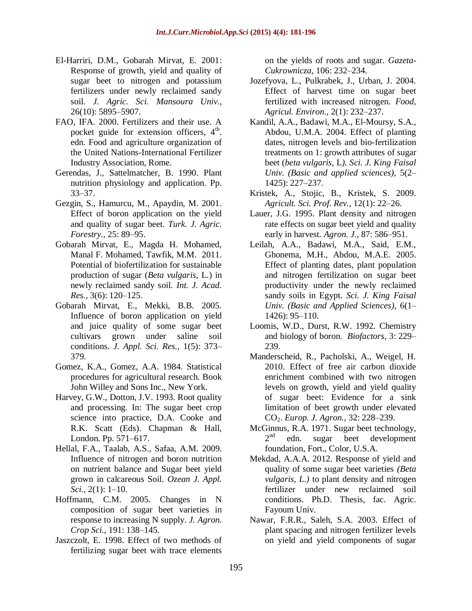- El-Harriri, D.M., Gobarah Mirvat, E. 2001: Response of growth, yield and quality of sugar beet to nitrogen and potassium fertilizers under newly reclaimed sandy soil. *J. Agric. Sci. Mansoura Univ.,* 26(10): 5895–5907.
- FAO, IFA. 2000. Fertilizers and their use. A pocket guide for extension officers,  $4<sup>th</sup>$ . edn. Food and agriculture organization of the United Nations-International Fertilizer Industry Association, Rome.
- Gerendas, J., Sattelmatcher, B. 1990. Plant nutrition physiology and application. Pp. 33–37.
- Gezgin, S., Hamurcu, M., Apaydin, M. 2001. Effect of boron application on the yield and quality of sugar beet. *Turk. J. Agric. Forestry.,* 25: 89–95.
- Gobarah Mirvat, E., Magda H. Mohamed, Manal F. Mohamed, Tawfik, M.M. 2011. Potential of biofertilization for sustainable production of sugar (*Beta vulgaris,* L*.*) in newly reclaimed sandy soil. *Int. J. Acad. Res.,* 3(6): 120–125.
- Gobarah Mirvat, E., Mekki, B.B. 2005. Influence of boron application on yield and juice quality of some sugar beet cultivars grown under saline soil conditions. *J. Appl. Sci. Res.,* 1(5): 373– 379.
- Gomez, K.A., Gomez, A.A. 1984. Statistical procedures for agricultural research. Book John Willey and Sons Inc., New York.
- Harvey, G.W., Dotton, J.V. 1993. Root quality and processing. In: The sugar beet crop science into practice, D.A. Cooke and R.K. Scatt (Eds). Chapman & Hall, London. Pp. 571–617.
- Hellal, F.A., Taalab, A.S., Safaa, A.M. 2009. Influence of nitrogen and boron nutrition on nutrient balance and Sugar beet yield grown in calcareous Soil. *Ozean J. Appl. Sci.,* 2(1): 1–10.
- Hoffmann, C.M. 2005. Changes in N composition of sugar beet varieties in response to increasing N supply. *J. Agron. Crop Sci.,* 191: 138–145.
- Jaszczolt, E. 1998. Effect of two methods of fertilizing sugar beet with trace elements

on the yields of roots and sugar. *Gazeta-Cukrownicza,* 106: 232–234.

- Jozefyova, L., Pulkrabek, J., Urban, J. 2004. Effect of harvest time on sugar beet fertilized with increased nitrogen. *Food, Agricul. Environ.,* 2(1): 232–237.
- Kandil, A.A., Badawi, M.A., El-Moursy, S.A., Abdou, U.M.A. 2004. Effect of planting dates, nitrogen levels and bio-fertilization treatments on 1: growth attributes of sugar beet (*beta vulgaris,* L*). Sci. J. King Faisal Univ. (Basic and applied sciences),* 5(2– 1425): 227–237.
- Kristek, A., Stojic, B., Kristek, S. 2009. *Agricult. Sci. Prof. Rev.,* 12(1): 22–26.
- Lauer, J.G. 1995. Plant density and nitrogen rate effects on sugar beet yield and quality early in harvest. *Agron. J.,* 87: 586–951.
- Leilah, A.A., Badawi, M.A., Said, E.M., Ghonema, M.H., Abdou, M.A.E. 2005. Effect of planting dates, plant population and nitrogen fertilization on sugar beet productivity under the newly reclaimed sandy soils in Egypt. *Sci. J. King Faisal Univ. (Basic and Applied Sciences),* 6(1– 1426): 95–110.
- Loomis, W.D., Durst, R.W. 1992*.* Chemistry and biology of boron. *Biofactors,* 3: 229– 239.
- Manderscheid, R., Pacholski, A., Weigel, H. 2010. Effect of free air carbon dioxide enrichment combined with two nitrogen levels on growth, yield and yield quality of sugar beet: Evidence for a sink limitation of beet growth under elevated CO2. *Europ. J. Agron.,* 32: 228–239.
- McGinnus, R.A. 1971. Sugar beet technology,  $2<sup>nd</sup>$ edn. sugar beet development foundation, Fort., Color, U.S.A.
- Mekdad, A.A.A. 2012. Response of yield and quality of some sugar beet varieties *(Beta vulgaris, L.)* to plant density and nitrogen fertilizer under new reclaimed soil conditions. Ph.D. Thesis, fac. Agric. Fayoum Univ.
- Nawar, F.R.R., Saleh, S.A. 2003. Effect of plant spacing and nitrogen fertilizer levels on yield and yield components of sugar